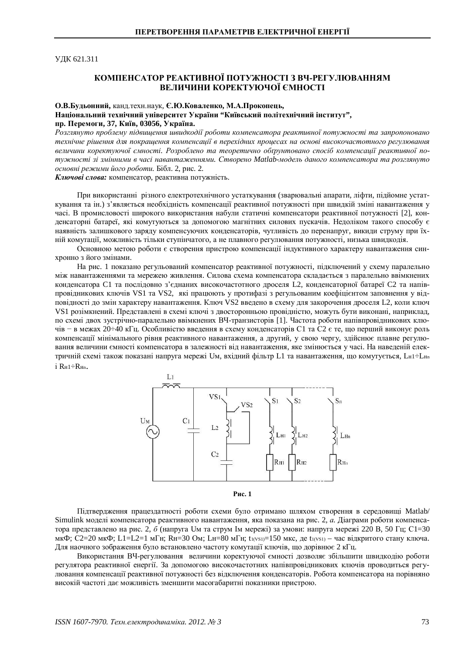**УДК 621.311** 

## КОМПЕНСАТОР РЕАКТИВНОЇ ПОТУЖНОСТІ З ВЧ-РЕГУЛЮВАННЯМ ВЕЛИЧИНИ КОРЕКТУЮЧОЇ ЄМНОСТІ

## О.В.Будьонний, канд.техн.наук, Є.Ю.Коваленко, М.А.Прокопець,

Національний технічний університет України "Київський політехнічний інститут", пр. Перемоги, 37, Київ, 03056, Україна.

Розглянуто проблему підвишення швидкодії роботи компенсатора реактивної потужності та запропоновано технічне рішення для покрашення компенсації в перехідних проиесах на основі високочастотного регулювання величини коректуючої ємності. Розроблено та теоретично обґрунтовано спосіб компенсації реактивної потужності зі змінними в часі навантаженнями. Створено Matlab-модель даного компенсатора та розглянуто  $\alpha$ сновні режими його роботи. Бібл. 2, рис. 2.

Ключові слова: компенсатор, реактивна потужність.

При використанні різного електротехнічного устаткування (зварювальні апарати, ліфти, підйомне устаткування та ін.) з'являється необхідність компенсації реактивної потужності при швидкій зміні навантаження у часі. В промисловості широкого використання набули статичні компенсатори реактивної потужності [2], конденсаторні батареї, які комугуються за допомогою магнітних силових пускачів. Недоліком такого способу є наявність залишкового заряду компенсуючих конденсаторів, чутливість до перенапруг, викиди струму при їхній комутації, можливість тільки ступінчатого, а не плавного регулювання потужності, низька швидкодія.

Основною метою роботи є створення пристрою компенсації індуктивного характеру навантаження синхронно з його змінами.

На рис. 1 показано регульований компенсатор реактивної потужності, підключений у схему паралельно між навантаженнями та мережею живлення. Силова схема компенсатора складається з паралельно ввімкнених конденсатора С1 та послідовно з'єднаних високочастотного дроселя L2, конденсаторної батареї С2 та напівпровідникових ключів VS1 та VS2, які працюють у протифазі з регульованим коефіцієнтом заповнення у відповідності до змін характеру навантаження. Ключ VS2 введено в схему для закорочення дроселя L2, коли ключ VS1 розімкнений. Представлені в схемі ключі з двосторонньою провідністю, можуть бути виконані, наприклад, по схемі двох зустрічно-паралельно ввімкнених ВЧ-транзисторів [1]. Частота роботи напівпровідникових ключів – в межах 20÷40 кГц. Особливістю введення в схему конденсаторів С1 та С2 є те, що перший виконує роль компенсації мінімального рівня реактивного навантаження, а другий, у свою чергу, здійснює плавне регулювання величини ємності компенсатора в залежності від навантаження, яке змінюється у часі. На наведеній електричній схемі також показані напруга мережі Uм, вхідний фільтр L1 та навантаження, що комутується, LH1÷LHn i Rн1÷Rнn.





Підтвердження працездатності роботи схеми було отримано шляхом створення в середовищі Matlab/ Simulink моделі компенсатора реактивного навантаження, яка показана на рис. 2, а. Діаграми роботи компенсатора представлено на рис. 2, *б* (напруга Uм та струм Iм мережі) за умови: напруга мережі 220 В, 50 Гц; С1=30 мкФ; С2=20 мкФ; L1=L2=1 мГн; Rн=30 Ом; Lн=80 мГн; t<sub>1(VS1)</sub>=150 мкс, де t<sub>1(VS1)</sub> – час відкритого стану ключа. Для наочного зображення було встановлено частоту комутації ключів, що дорівнює 2 кГц.

Використання ВЧ-регулювання величини коректуючої ємності дозволяє збільшити швидкодію роботи регулятора реактивної енергії. За допомогою високочастотних напівпровідникових ключів проводиться регулювання компенсації реактивної потужності без відключення конденсаторів. Робота компенсатора на порівняно високій частоті дає можливість зменшити масогабаритні показники пристрою.